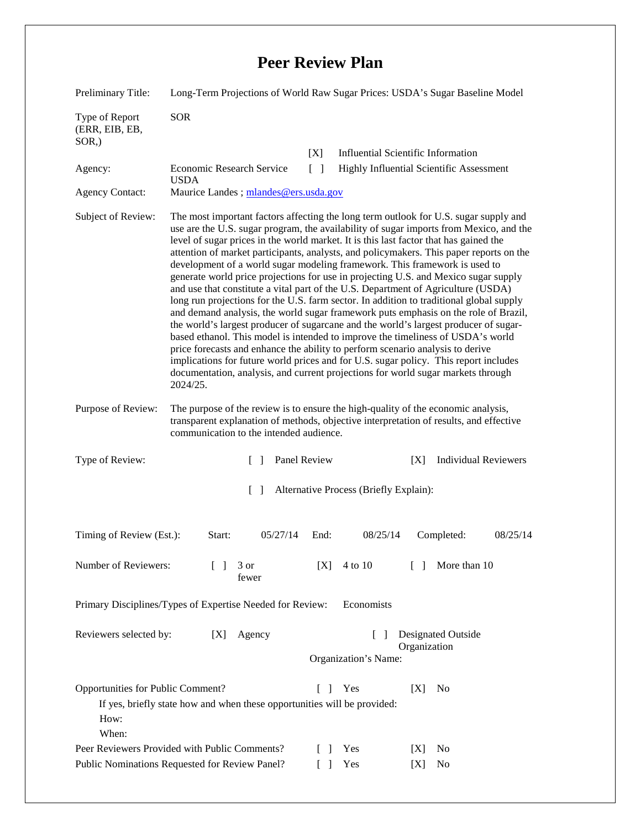## **Peer Review Plan**

| Preliminary Title:                                                                                                                                                       | Long-Term Projections of World Raw Sugar Prices: USDA's Sugar Baseline Model                                                                                                                                                                                                                                                                                                                                                                                                                                                                                                                                                                                                                                                                                                                                                                                                                                                                                                                                                                                                                                                                                                                                                                                        |                    |                                           |
|--------------------------------------------------------------------------------------------------------------------------------------------------------------------------|---------------------------------------------------------------------------------------------------------------------------------------------------------------------------------------------------------------------------------------------------------------------------------------------------------------------------------------------------------------------------------------------------------------------------------------------------------------------------------------------------------------------------------------------------------------------------------------------------------------------------------------------------------------------------------------------------------------------------------------------------------------------------------------------------------------------------------------------------------------------------------------------------------------------------------------------------------------------------------------------------------------------------------------------------------------------------------------------------------------------------------------------------------------------------------------------------------------------------------------------------------------------|--------------------|-------------------------------------------|
| Type of Report<br>(ERR, EIB, EB,<br>$SOR$ <sub>,</sub> )                                                                                                                 | <b>SOR</b>                                                                                                                                                                                                                                                                                                                                                                                                                                                                                                                                                                                                                                                                                                                                                                                                                                                                                                                                                                                                                                                                                                                                                                                                                                                          |                    |                                           |
|                                                                                                                                                                          |                                                                                                                                                                                                                                                                                                                                                                                                                                                                                                                                                                                                                                                                                                                                                                                                                                                                                                                                                                                                                                                                                                                                                                                                                                                                     | [X]                | <b>Influential Scientific Information</b> |
| Agency:                                                                                                                                                                  | Economic Research Service<br><b>USDA</b>                                                                                                                                                                                                                                                                                                                                                                                                                                                                                                                                                                                                                                                                                                                                                                                                                                                                                                                                                                                                                                                                                                                                                                                                                            | $\lceil \; \rceil$ | Highly Influential Scientific Assessment  |
| <b>Agency Contact:</b>                                                                                                                                                   | Maurice Landes; mlandes@ers.usda.gov                                                                                                                                                                                                                                                                                                                                                                                                                                                                                                                                                                                                                                                                                                                                                                                                                                                                                                                                                                                                                                                                                                                                                                                                                                |                    |                                           |
| Subject of Review:                                                                                                                                                       | The most important factors affecting the long term outlook for U.S. sugar supply and<br>use are the U.S. sugar program, the availability of sugar imports from Mexico, and the<br>level of sugar prices in the world market. It is this last factor that has gained the<br>attention of market participants, analysts, and policymakers. This paper reports on the<br>development of a world sugar modeling framework. This framework is used to<br>generate world price projections for use in projecting U.S. and Mexico sugar supply<br>and use that constitute a vital part of the U.S. Department of Agriculture (USDA)<br>long run projections for the U.S. farm sector. In addition to traditional global supply<br>and demand analysis, the world sugar framework puts emphasis on the role of Brazil,<br>the world's largest producer of sugarcane and the world's largest producer of sugar-<br>based ethanol. This model is intended to improve the timeliness of USDA's world<br>price forecasts and enhance the ability to perform scenario analysis to derive<br>implications for future world prices and for U.S. sugar policy. This report includes<br>documentation, analysis, and current projections for world sugar markets through<br>2024/25. |                    |                                           |
| Purpose of Review:                                                                                                                                                       | The purpose of the review is to ensure the high-quality of the economic analysis,<br>transparent explanation of methods, objective interpretation of results, and effective<br>communication to the intended audience.                                                                                                                                                                                                                                                                                                                                                                                                                                                                                                                                                                                                                                                                                                                                                                                                                                                                                                                                                                                                                                              |                    |                                           |
| Type of Review:                                                                                                                                                          | $\Box$                                                                                                                                                                                                                                                                                                                                                                                                                                                                                                                                                                                                                                                                                                                                                                                                                                                                                                                                                                                                                                                                                                                                                                                                                                                              | Panel Review       | <b>Individual Reviewers</b><br>[X]        |
| $\lceil$<br>Alternative Process (Briefly Explain):                                                                                                                       |                                                                                                                                                                                                                                                                                                                                                                                                                                                                                                                                                                                                                                                                                                                                                                                                                                                                                                                                                                                                                                                                                                                                                                                                                                                                     |                    |                                           |
| Timing of Review (Est.):                                                                                                                                                 | Start:<br>05/27/14                                                                                                                                                                                                                                                                                                                                                                                                                                                                                                                                                                                                                                                                                                                                                                                                                                                                                                                                                                                                                                                                                                                                                                                                                                                  | End:<br>08/25/14   | Completed:<br>08/25/14                    |
| Number of Reviewers:                                                                                                                                                     | $\Box$<br>3 or<br>fewer                                                                                                                                                                                                                                                                                                                                                                                                                                                                                                                                                                                                                                                                                                                                                                                                                                                                                                                                                                                                                                                                                                                                                                                                                                             | 4 to 10<br>[X]     | More than 10<br>$\Box$                    |
| Primary Disciplines/Types of Expertise Needed for Review:<br>Economists                                                                                                  |                                                                                                                                                                                                                                                                                                                                                                                                                                                                                                                                                                                                                                                                                                                                                                                                                                                                                                                                                                                                                                                                                                                                                                                                                                                                     |                    |                                           |
| Reviewers selected by:<br>Agency<br>Designated Outside<br>[X]<br>$\mathbf{I}$                                                                                            |                                                                                                                                                                                                                                                                                                                                                                                                                                                                                                                                                                                                                                                                                                                                                                                                                                                                                                                                                                                                                                                                                                                                                                                                                                                                     |                    |                                           |
|                                                                                                                                                                          | Organization<br>Organization's Name:                                                                                                                                                                                                                                                                                                                                                                                                                                                                                                                                                                                                                                                                                                                                                                                                                                                                                                                                                                                                                                                                                                                                                                                                                                |                    |                                           |
| Opportunities for Public Comment?<br>$\Box$<br>Yes<br>[X]<br>N <sub>o</sub><br>If yes, briefly state how and when these opportunities will be provided:<br>How:<br>When: |                                                                                                                                                                                                                                                                                                                                                                                                                                                                                                                                                                                                                                                                                                                                                                                                                                                                                                                                                                                                                                                                                                                                                                                                                                                                     |                    |                                           |
| Peer Reviewers Provided with Public Comments?<br>No<br>Yes<br>$\mathbf{I}$<br> X                                                                                         |                                                                                                                                                                                                                                                                                                                                                                                                                                                                                                                                                                                                                                                                                                                                                                                                                                                                                                                                                                                                                                                                                                                                                                                                                                                                     |                    |                                           |
| Public Nominations Requested for Review Panel?<br>Yes<br>N <sub>0</sub><br>$\mathsf{L}$<br>[X]                                                                           |                                                                                                                                                                                                                                                                                                                                                                                                                                                                                                                                                                                                                                                                                                                                                                                                                                                                                                                                                                                                                                                                                                                                                                                                                                                                     |                    |                                           |